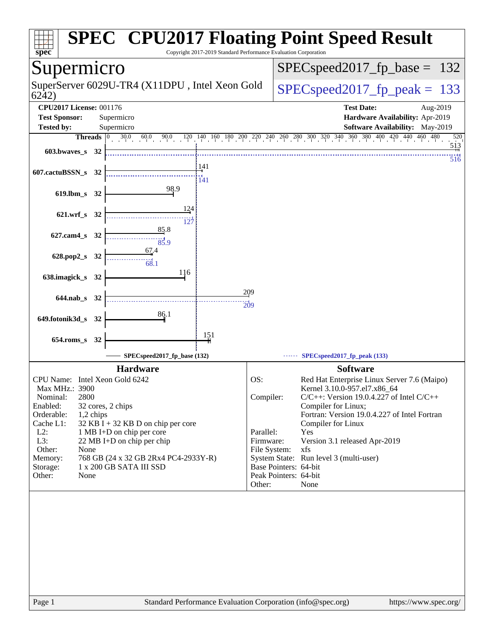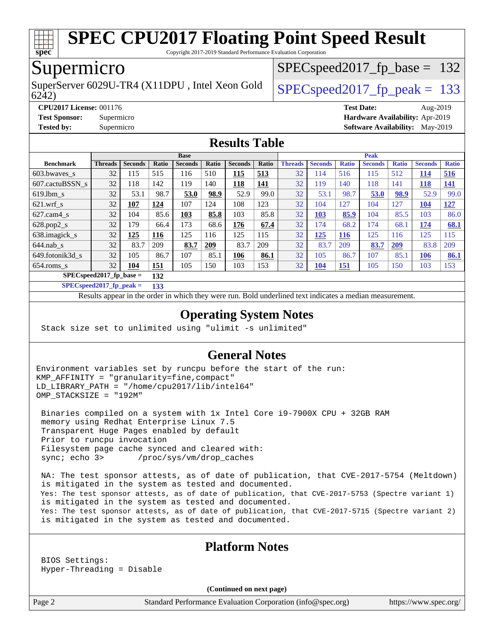

Copyright 2017-2019 Standard Performance Evaluation Corporation

## Supermicro

6242) SuperServer 6029U-TR4 (X11DPU, Intel Xeon Gold  $\big|$  SPECspeed 2017 fp peak = 133

SPECspeed2017 fp base =  $132$ 

**[CPU2017 License:](http://www.spec.org/auto/cpu2017/Docs/result-fields.html#CPU2017License)** 001176 **[Test Date:](http://www.spec.org/auto/cpu2017/Docs/result-fields.html#TestDate)** Aug-2019 **[Test Sponsor:](http://www.spec.org/auto/cpu2017/Docs/result-fields.html#TestSponsor)** Supermicro **[Hardware Availability:](http://www.spec.org/auto/cpu2017/Docs/result-fields.html#HardwareAvailability)** Apr-2019 **[Tested by:](http://www.spec.org/auto/cpu2017/Docs/result-fields.html#Testedby)** Supermicro **[Software Availability:](http://www.spec.org/auto/cpu2017/Docs/result-fields.html#SoftwareAvailability)** May-2019

### **[Results Table](http://www.spec.org/auto/cpu2017/Docs/result-fields.html#ResultsTable)**

|                            | <b>Base</b> |                |       |                |       |                |            |                | <b>Peak</b>    |              |                |              |                |              |  |
|----------------------------|-------------|----------------|-------|----------------|-------|----------------|------------|----------------|----------------|--------------|----------------|--------------|----------------|--------------|--|
| <b>Benchmark</b>           | Threads     | <b>Seconds</b> | Ratio | <b>Seconds</b> | Ratio | <b>Seconds</b> | Ratio      | <b>Threads</b> | <b>Seconds</b> | <b>Ratio</b> | <b>Seconds</b> | <b>Ratio</b> | <b>Seconds</b> | <b>Ratio</b> |  |
| $603.bwaves$ s             | 32          | 115            | 515   | 116            | 510   | <u> 115</u>    | 513        | 32             | 114            | 516          | 115            | 512          | <u>114</u>     | 516          |  |
| 607.cactuBSSN s            | 32          | 118            | 142   | 119            | 140   | <b>118</b>     | <b>141</b> | 32             | 119            | 140          | 118            | 141          | <b>118</b>     | <u>141</u>   |  |
| $619.1$ bm s               | 32          | 53.1           | 98.7  | 53.0           | 98.9  | 52.9           | 99.0       | 32             | 53.1           | 98.7         | 53.0           | 98.9         | 52.9           | 99.0         |  |
| $621$ .wrf s               | 32          | 107            | 124   | 107            | 124   | 108            | 123        | 32             | 104            | 127          | 104            | 127          | <u>104</u>     | <u>127</u>   |  |
| $627$ .cam $4 \text{ s}$   | 32          | 104            | 85.6  | 103            | 85.8  | 103            | 85.8       | 32             | 103            | 85.9         | 104            | 85.5         | 103            | 86.0         |  |
| $628.pop2_s$               | 32          | 179            | 66.4  | 173            | 68.6  | 176            | 67.4       | 32             | 174            | 68.2         | 174            | 68.1         | 174            | 68.1         |  |
| 638.imagick_s              | 32          | 125            | 116   | 125            | 116   | 125            | 115        | 32             | 125            | <b>116</b>   | 125            | 116          | 125            | 115          |  |
| $644$ .nab s               | 32          | 83.7           | 209   | 83.7           | 209   | 83.7           | 209        | 32             | 83.7           | 209          | 83.7           | 209          | 83.8           | 209          |  |
| 649.fotonik3d s            | 32          | 105            | 86.7  | 107            | 85.1  | 106            | 86.1       | 32             | 105            | 86.7         | 107            | 85.1         | 106            | 86.1         |  |
| $654$ .roms s              | 32          | 104            | 151   | 105            | 150   | 103            | 153        | 32             | <u>104</u>     | <u>151</u>   | 105            | 150          | 103            | 153          |  |
| $SPECspeed2017_fp\_base =$ | 132         |                |       |                |       |                |            |                |                |              |                |              |                |              |  |

**[SPECspeed2017\\_fp\\_peak =](http://www.spec.org/auto/cpu2017/Docs/result-fields.html#SPECspeed2017fppeak) 133**

Results appear in the [order in which they were run.](http://www.spec.org/auto/cpu2017/Docs/result-fields.html#RunOrder) Bold underlined text [indicates a median measurement](http://www.spec.org/auto/cpu2017/Docs/result-fields.html#Median).

### **[Operating System Notes](http://www.spec.org/auto/cpu2017/Docs/result-fields.html#OperatingSystemNotes)**

Stack size set to unlimited using "ulimit -s unlimited"

### **[General Notes](http://www.spec.org/auto/cpu2017/Docs/result-fields.html#GeneralNotes)**

Environment variables set by runcpu before the start of the run: KMP\_AFFINITY = "granularity=fine,compact" LD\_LIBRARY\_PATH = "/home/cpu2017/lib/intel64" OMP\_STACKSIZE = "192M"

 Binaries compiled on a system with 1x Intel Core i9-7900X CPU + 32GB RAM memory using Redhat Enterprise Linux 7.5 Transparent Huge Pages enabled by default Prior to runcpu invocation Filesystem page cache synced and cleared with: sync; echo 3> /proc/sys/vm/drop\_caches

 NA: The test sponsor attests, as of date of publication, that CVE-2017-5754 (Meltdown) is mitigated in the system as tested and documented. Yes: The test sponsor attests, as of date of publication, that CVE-2017-5753 (Spectre variant 1) is mitigated in the system as tested and documented. Yes: The test sponsor attests, as of date of publication, that CVE-2017-5715 (Spectre variant 2) is mitigated in the system as tested and documented.

### **[Platform Notes](http://www.spec.org/auto/cpu2017/Docs/result-fields.html#PlatformNotes)**

 BIOS Settings: Hyper-Threading = Disable

**(Continued on next page)**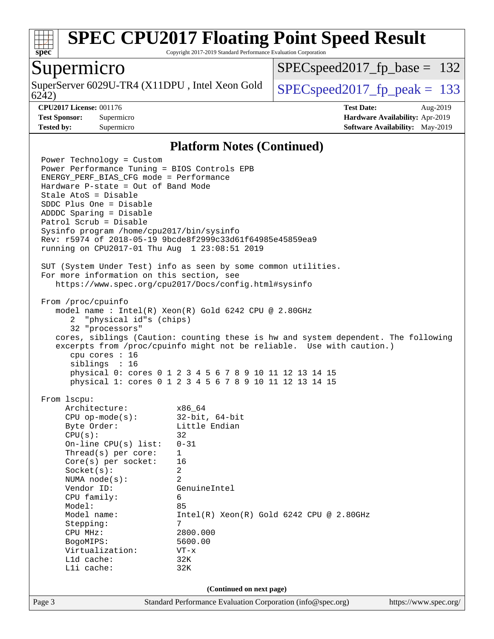

Copyright 2017-2019 Standard Performance Evaluation Corporation

### Supermicro

6242) SuperServer 6029U-TR4 (X11DPU, Intel Xeon Gold  $SPEC speed2017_fp\_peak = 133$ 

SPECspeed2017 fp base =  $132$ 

**[Tested by:](http://www.spec.org/auto/cpu2017/Docs/result-fields.html#Testedby)** Supermicro **[Software Availability:](http://www.spec.org/auto/cpu2017/Docs/result-fields.html#SoftwareAvailability)** May-2019

**[CPU2017 License:](http://www.spec.org/auto/cpu2017/Docs/result-fields.html#CPU2017License)** 001176 **[Test Date:](http://www.spec.org/auto/cpu2017/Docs/result-fields.html#TestDate)** Aug-2019 **[Test Sponsor:](http://www.spec.org/auto/cpu2017/Docs/result-fields.html#TestSponsor)** Supermicro **[Hardware Availability:](http://www.spec.org/auto/cpu2017/Docs/result-fields.html#HardwareAvailability)** Apr-2019

### **[Platform Notes \(Continued\)](http://www.spec.org/auto/cpu2017/Docs/result-fields.html#PlatformNotes)**

Page 3 Standard Performance Evaluation Corporation [\(info@spec.org\)](mailto:info@spec.org) <https://www.spec.org/> Power Technology = Custom Power Performance Tuning = BIOS Controls EPB ENERGY\_PERF\_BIAS\_CFG mode = Performance Hardware P-state = Out of Band Mode Stale AtoS = Disable SDDC Plus One = Disable ADDDC Sparing = Disable Patrol Scrub = Disable Sysinfo program /home/cpu2017/bin/sysinfo Rev: r5974 of 2018-05-19 9bcde8f2999c33d61f64985e45859ea9 running on CPU2017-01 Thu Aug 1 23:08:51 2019 SUT (System Under Test) info as seen by some common utilities. For more information on this section, see <https://www.spec.org/cpu2017/Docs/config.html#sysinfo> From /proc/cpuinfo model name : Intel(R) Xeon(R) Gold 6242 CPU @ 2.80GHz 2 "physical id"s (chips) 32 "processors" cores, siblings (Caution: counting these is hw and system dependent. The following excerpts from /proc/cpuinfo might not be reliable. Use with caution.) cpu cores : 16 siblings : 16 physical 0: cores 0 1 2 3 4 5 6 7 8 9 10 11 12 13 14 15 physical 1: cores 0 1 2 3 4 5 6 7 8 9 10 11 12 13 14 15 From lscpu: Architecture: x86\_64 CPU op-mode(s): 32-bit, 64-bit Byte Order: Little Endian  $CPU(s):$  32 On-line CPU(s) list: 0-31 Thread(s) per core: 1 Core(s) per socket: 16 Socket(s): 2 NUMA node(s): 2 Vendor ID: GenuineIntel CPU family: 6 Model: 85 Model name: Intel(R) Xeon(R) Gold 6242 CPU @ 2.80GHz Stepping: 7 CPU MHz: 2800.000 BogoMIPS: 5600.00 Virtualization: VT-x L1d cache: 32K L1i cache: 32K **(Continued on next page)**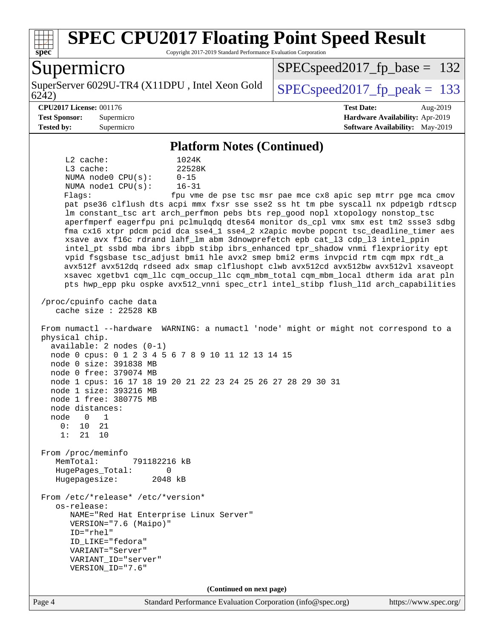

Copyright 2017-2019 Standard Performance Evaluation Corporation

## Supermicro

6242) SuperServer 6029U-TR4 (X11DPU, Intel Xeon Gold  $\big|$  SPECspeed 2017 fp\_peak = 133

SPECspeed2017 fp base =  $132$ 

### **[CPU2017 License:](http://www.spec.org/auto/cpu2017/Docs/result-fields.html#CPU2017License)** 001176 **[Test Date:](http://www.spec.org/auto/cpu2017/Docs/result-fields.html#TestDate)** Aug-2019

**[Test Sponsor:](http://www.spec.org/auto/cpu2017/Docs/result-fields.html#TestSponsor)** Supermicro **[Hardware Availability:](http://www.spec.org/auto/cpu2017/Docs/result-fields.html#HardwareAvailability)** Apr-2019 **[Tested by:](http://www.spec.org/auto/cpu2017/Docs/result-fields.html#Testedby)** Supermicro **[Software Availability:](http://www.spec.org/auto/cpu2017/Docs/result-fields.html#SoftwareAvailability)** May-2019

### **[Platform Notes \(Continued\)](http://www.spec.org/auto/cpu2017/Docs/result-fields.html#PlatformNotes)**

 L2 cache: 1024K L3 cache: 22528K NUMA node0 CPU(s): 0-15 NUMA node1 CPU(s): 16-31

Flags: fpu vme de pse tsc msr pae mce cx8 apic sep mtrr pge mca cmov pat pse36 clflush dts acpi mmx fxsr sse sse2 ss ht tm pbe syscall nx pdpe1gb rdtscp lm constant\_tsc art arch\_perfmon pebs bts rep\_good nopl xtopology nonstop\_tsc aperfmperf eagerfpu pni pclmulqdq dtes64 monitor ds\_cpl vmx smx est tm2 ssse3 sdbg fma cx16 xtpr pdcm pcid dca sse4\_1 sse4\_2 x2apic movbe popcnt tsc\_deadline\_timer aes xsave avx f16c rdrand lahf\_lm abm 3dnowprefetch epb cat\_l3 cdp\_l3 intel\_ppin intel\_pt ssbd mba ibrs ibpb stibp ibrs\_enhanced tpr\_shadow vnmi flexpriority ept vpid fsgsbase tsc\_adjust bmi1 hle avx2 smep bmi2 erms invpcid rtm cqm mpx rdt\_a avx512f avx512dq rdseed adx smap clflushopt clwb avx512cd avx512bw avx512vl xsaveopt xsavec xgetbv1 cqm\_llc cqm\_occup\_llc cqm\_mbm\_total cqm\_mbm\_local dtherm ida arat pln pts hwp\_epp pku ospke avx512\_vnni spec\_ctrl intel\_stibp flush\_l1d arch\_capabilities

 /proc/cpuinfo cache data cache size : 22528 KB

 From numactl --hardware WARNING: a numactl 'node' might or might not correspond to a physical chip. available: 2 nodes (0-1) node 0 cpus: 0 1 2 3 4 5 6 7 8 9 10 11 12 13 14 15 node 0 size: 391838 MB node 0 free: 379074 MB node 1 cpus: 16 17 18 19 20 21 22 23 24 25 26 27 28 29 30 31 node 1 size: 393216 MB node 1 free: 380775 MB node distances: node 0 1 0: 10 21 1: 21 10 From /proc/meminfo MemTotal: 791182216 kB HugePages\_Total: 0 Hugepagesize: 2048 kB From /etc/\*release\* /etc/\*version\*

 os-release: NAME="Red Hat Enterprise Linux Server" VERSION="7.6 (Maipo)" ID="rhel" ID\_LIKE="fedora" VARIANT="Server" VARIANT\_ID="server" VERSION\_ID="7.6"

**(Continued on next page)**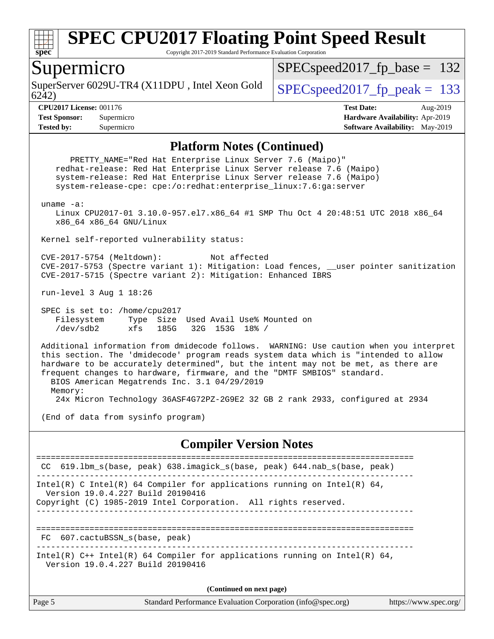

Copyright 2017-2019 Standard Performance Evaluation Corporation

### Supermicro

SuperServer 6029U-TR4 (X11DPU, Intel Xeon Gold  $\big|$  SPECspeed 2017 fp peak = 133

SPECspeed2017 fp base =  $132$ 

6242)

**[CPU2017 License:](http://www.spec.org/auto/cpu2017/Docs/result-fields.html#CPU2017License)** 001176 **[Test Date:](http://www.spec.org/auto/cpu2017/Docs/result-fields.html#TestDate)** Aug-2019 **[Test Sponsor:](http://www.spec.org/auto/cpu2017/Docs/result-fields.html#TestSponsor)** Supermicro **[Hardware Availability:](http://www.spec.org/auto/cpu2017/Docs/result-fields.html#HardwareAvailability)** Apr-2019 **[Tested by:](http://www.spec.org/auto/cpu2017/Docs/result-fields.html#Testedby)** Supermicro **[Software Availability:](http://www.spec.org/auto/cpu2017/Docs/result-fields.html#SoftwareAvailability)** May-2019

### **[Platform Notes \(Continued\)](http://www.spec.org/auto/cpu2017/Docs/result-fields.html#PlatformNotes)**

 PRETTY\_NAME="Red Hat Enterprise Linux Server 7.6 (Maipo)" redhat-release: Red Hat Enterprise Linux Server release 7.6 (Maipo) system-release: Red Hat Enterprise Linux Server release 7.6 (Maipo) system-release-cpe: cpe:/o:redhat:enterprise\_linux:7.6:ga:server uname -a: Linux CPU2017-01 3.10.0-957.el7.x86\_64 #1 SMP Thu Oct 4 20:48:51 UTC 2018 x86\_64 x86\_64 x86\_64 GNU/Linux Kernel self-reported vulnerability status: CVE-2017-5754 (Meltdown): Not affected CVE-2017-5753 (Spectre variant 1): Mitigation: Load fences, \_\_user pointer sanitization CVE-2017-5715 (Spectre variant 2): Mitigation: Enhanced IBRS run-level 3 Aug 1 18:26 SPEC is set to: /home/cpu2017 Filesystem Type Size Used Avail Use% Mounted on /dev/sdb2 xfs 185G 32G 153G 18% / Additional information from dmidecode follows. WARNING: Use caution when you interpret this section. The 'dmidecode' program reads system data which is "intended to allow hardware to be accurately determined", but the intent may not be met, as there are frequent changes to hardware, firmware, and the "DMTF SMBIOS" standard. BIOS American Megatrends Inc. 3.1 04/29/2019 Memory: 24x Micron Technology 36ASF4G72PZ-2G9E2 32 GB 2 rank 2933, configured at 2934 (End of data from sysinfo program) **[Compiler Version Notes](http://www.spec.org/auto/cpu2017/Docs/result-fields.html#CompilerVersionNotes)** ============================================================================== CC 619.lbm\_s(base, peak) 638.imagick\_s(base, peak) 644.nab\_s(base, peak) ------------------------------------------------------------------------------ Intel(R) C Intel(R) 64 Compiler for applications running on Intel(R) 64, Version 19.0.4.227 Build 20190416 Copyright (C) 1985-2019 Intel Corporation. All rights reserved. ------------------------------------------------------------------------------ ============================================================================== FC 607.cactuBSSN\_s(base, peak) ------------------------------------------------------------------------------ Intel(R)  $C++$  Intel(R) 64 Compiler for applications running on Intel(R) 64, Version 19.0.4.227 Build 20190416 **(Continued on next page)**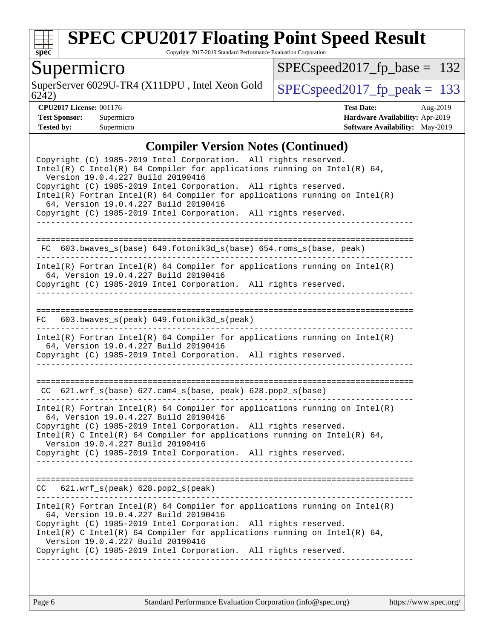

Copyright 2017-2019 Standard Performance Evaluation Corporation

## Supermicro

6242) SuperServer 6029U-TR4 (X11DPU, Intel Xeon Gold  $SPEC speed2017_fpcak = 133$ 

[SPECspeed2017\\_fp\\_base =](http://www.spec.org/auto/cpu2017/Docs/result-fields.html#SPECspeed2017fpbase) 132

**[CPU2017 License:](http://www.spec.org/auto/cpu2017/Docs/result-fields.html#CPU2017License)** 001176 **[Test Date:](http://www.spec.org/auto/cpu2017/Docs/result-fields.html#TestDate)** Aug-2019 **[Test Sponsor:](http://www.spec.org/auto/cpu2017/Docs/result-fields.html#TestSponsor)** Supermicro **[Hardware Availability:](http://www.spec.org/auto/cpu2017/Docs/result-fields.html#HardwareAvailability)** Apr-2019 **[Tested by:](http://www.spec.org/auto/cpu2017/Docs/result-fields.html#Testedby)** Supermicro **Supermicro [Software Availability:](http://www.spec.org/auto/cpu2017/Docs/result-fields.html#SoftwareAvailability)** May-2019

### **[Compiler Version Notes \(Continued\)](http://www.spec.org/auto/cpu2017/Docs/result-fields.html#CompilerVersionNotes)**

| Copyright (C) 1985-2019 Intel Corporation. All rights reserved.<br>Intel(R) C Intel(R) 64 Compiler for applications running on Intel(R) 64,<br>Version 19.0.4.227 Build 20190416<br>Copyright (C) 1985-2019 Intel Corporation. All rights reserved.<br>$Intel(R)$ Fortran Intel(R) 64 Compiler for applications running on Intel(R)<br>64, Version 19.0.4.227 Build 20190416<br>Copyright (C) 1985-2019 Intel Corporation. All rights reserved. |
|-------------------------------------------------------------------------------------------------------------------------------------------------------------------------------------------------------------------------------------------------------------------------------------------------------------------------------------------------------------------------------------------------------------------------------------------------|
| FC 603.bwaves s(base) 649.fotonik3d s(base) 654.roms s(base, peak)                                                                                                                                                                                                                                                                                                                                                                              |
| $Intel(R)$ Fortran Intel(R) 64 Compiler for applications running on Intel(R)<br>64, Version 19.0.4.227 Build 20190416<br>Copyright (C) 1985-2019 Intel Corporation. All rights reserved.                                                                                                                                                                                                                                                        |
| 603.bwaves_s(peak) 649.fotonik3d_s(peak)<br>FC                                                                                                                                                                                                                                                                                                                                                                                                  |
| $Intel(R)$ Fortran Intel(R) 64 Compiler for applications running on Intel(R)<br>64, Version 19.0.4.227 Build 20190416<br>Copyright (C) 1985-2019 Intel Corporation. All rights reserved.                                                                                                                                                                                                                                                        |
| CC 621.wrf_s(base) 627.cam4_s(base, peak) 628.pop2_s(base)                                                                                                                                                                                                                                                                                                                                                                                      |
| $Intel(R)$ Fortran Intel(R) 64 Compiler for applications running on Intel(R)<br>64, Version 19.0.4.227 Build 20190416<br>Copyright (C) 1985-2019 Intel Corporation. All rights reserved.<br>Intel(R) C Intel(R) 64 Compiler for applications running on Intel(R) 64,<br>Version 19.0.4.227 Build 20190416<br>Copyright (C) 1985-2019 Intel Corporation. All rights reserved.                                                                    |
| $CC$ $621.wrf_s(peak)$ $628.pop2_s(peak)$                                                                                                                                                                                                                                                                                                                                                                                                       |
| $Intel(R)$ Fortran Intel(R) 64 Compiler for applications running on Intel(R)<br>64, Version 19.0.4.227 Build 20190416<br>Copyright (C) 1985-2019 Intel Corporation. All rights reserved.<br>Intel(R) C Intel(R) 64 Compiler for applications running on Intel(R) 64,<br>Version 19.0.4.227 Build 20190416<br>Copyright (C) 1985-2019 Intel Corporation. All rights reserved.                                                                    |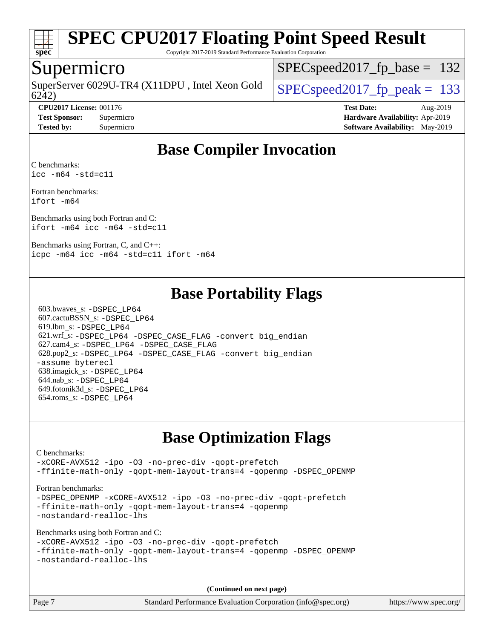

Copyright 2017-2019 Standard Performance Evaluation Corporation

### Supermicro

6242) SuperServer 6029U-TR4 (X11DPU, Intel Xeon Gold  $\big|$  SPECspeed 2017 fp\_peak = 133

[SPECspeed2017\\_fp\\_base =](http://www.spec.org/auto/cpu2017/Docs/result-fields.html#SPECspeed2017fpbase) 132

**[Test Sponsor:](http://www.spec.org/auto/cpu2017/Docs/result-fields.html#TestSponsor)** Supermicro **[Hardware Availability:](http://www.spec.org/auto/cpu2017/Docs/result-fields.html#HardwareAvailability)** Apr-2019 **[Tested by:](http://www.spec.org/auto/cpu2017/Docs/result-fields.html#Testedby)** Supermicro **[Software Availability:](http://www.spec.org/auto/cpu2017/Docs/result-fields.html#SoftwareAvailability)** May-2019

**[CPU2017 License:](http://www.spec.org/auto/cpu2017/Docs/result-fields.html#CPU2017License)** 001176 **[Test Date:](http://www.spec.org/auto/cpu2017/Docs/result-fields.html#TestDate)** Aug-2019

## **[Base Compiler Invocation](http://www.spec.org/auto/cpu2017/Docs/result-fields.html#BaseCompilerInvocation)**

[C benchmarks](http://www.spec.org/auto/cpu2017/Docs/result-fields.html#Cbenchmarks): [icc -m64 -std=c11](http://www.spec.org/cpu2017/results/res2019q3/cpu2017-20190806-16727.flags.html#user_CCbase_intel_icc_64bit_c11_33ee0cdaae7deeeab2a9725423ba97205ce30f63b9926c2519791662299b76a0318f32ddfffdc46587804de3178b4f9328c46fa7c2b0cd779d7a61945c91cd35)

[Fortran benchmarks:](http://www.spec.org/auto/cpu2017/Docs/result-fields.html#Fortranbenchmarks) [ifort -m64](http://www.spec.org/cpu2017/results/res2019q3/cpu2017-20190806-16727.flags.html#user_FCbase_intel_ifort_64bit_24f2bb282fbaeffd6157abe4f878425411749daecae9a33200eee2bee2fe76f3b89351d69a8130dd5949958ce389cf37ff59a95e7a40d588e8d3a57e0c3fd751)

[Benchmarks using both Fortran and C](http://www.spec.org/auto/cpu2017/Docs/result-fields.html#BenchmarksusingbothFortranandC): [ifort -m64](http://www.spec.org/cpu2017/results/res2019q3/cpu2017-20190806-16727.flags.html#user_CC_FCbase_intel_ifort_64bit_24f2bb282fbaeffd6157abe4f878425411749daecae9a33200eee2bee2fe76f3b89351d69a8130dd5949958ce389cf37ff59a95e7a40d588e8d3a57e0c3fd751) [icc -m64 -std=c11](http://www.spec.org/cpu2017/results/res2019q3/cpu2017-20190806-16727.flags.html#user_CC_FCbase_intel_icc_64bit_c11_33ee0cdaae7deeeab2a9725423ba97205ce30f63b9926c2519791662299b76a0318f32ddfffdc46587804de3178b4f9328c46fa7c2b0cd779d7a61945c91cd35)

[Benchmarks using Fortran, C, and C++](http://www.spec.org/auto/cpu2017/Docs/result-fields.html#BenchmarksusingFortranCandCXX): [icpc -m64](http://www.spec.org/cpu2017/results/res2019q3/cpu2017-20190806-16727.flags.html#user_CC_CXX_FCbase_intel_icpc_64bit_4ecb2543ae3f1412ef961e0650ca070fec7b7afdcd6ed48761b84423119d1bf6bdf5cad15b44d48e7256388bc77273b966e5eb805aefd121eb22e9299b2ec9d9) [icc -m64 -std=c11](http://www.spec.org/cpu2017/results/res2019q3/cpu2017-20190806-16727.flags.html#user_CC_CXX_FCbase_intel_icc_64bit_c11_33ee0cdaae7deeeab2a9725423ba97205ce30f63b9926c2519791662299b76a0318f32ddfffdc46587804de3178b4f9328c46fa7c2b0cd779d7a61945c91cd35) [ifort -m64](http://www.spec.org/cpu2017/results/res2019q3/cpu2017-20190806-16727.flags.html#user_CC_CXX_FCbase_intel_ifort_64bit_24f2bb282fbaeffd6157abe4f878425411749daecae9a33200eee2bee2fe76f3b89351d69a8130dd5949958ce389cf37ff59a95e7a40d588e8d3a57e0c3fd751)

## **[Base Portability Flags](http://www.spec.org/auto/cpu2017/Docs/result-fields.html#BasePortabilityFlags)**

 603.bwaves\_s: [-DSPEC\\_LP64](http://www.spec.org/cpu2017/results/res2019q3/cpu2017-20190806-16727.flags.html#suite_basePORTABILITY603_bwaves_s_DSPEC_LP64) 607.cactuBSSN\_s: [-DSPEC\\_LP64](http://www.spec.org/cpu2017/results/res2019q3/cpu2017-20190806-16727.flags.html#suite_basePORTABILITY607_cactuBSSN_s_DSPEC_LP64) 619.lbm\_s: [-DSPEC\\_LP64](http://www.spec.org/cpu2017/results/res2019q3/cpu2017-20190806-16727.flags.html#suite_basePORTABILITY619_lbm_s_DSPEC_LP64) 621.wrf\_s: [-DSPEC\\_LP64](http://www.spec.org/cpu2017/results/res2019q3/cpu2017-20190806-16727.flags.html#suite_basePORTABILITY621_wrf_s_DSPEC_LP64) [-DSPEC\\_CASE\\_FLAG](http://www.spec.org/cpu2017/results/res2019q3/cpu2017-20190806-16727.flags.html#b621.wrf_s_baseCPORTABILITY_DSPEC_CASE_FLAG) [-convert big\\_endian](http://www.spec.org/cpu2017/results/res2019q3/cpu2017-20190806-16727.flags.html#user_baseFPORTABILITY621_wrf_s_convert_big_endian_c3194028bc08c63ac5d04de18c48ce6d347e4e562e8892b8bdbdc0214820426deb8554edfa529a3fb25a586e65a3d812c835984020483e7e73212c4d31a38223) 627.cam4\_s: [-DSPEC\\_LP64](http://www.spec.org/cpu2017/results/res2019q3/cpu2017-20190806-16727.flags.html#suite_basePORTABILITY627_cam4_s_DSPEC_LP64) [-DSPEC\\_CASE\\_FLAG](http://www.spec.org/cpu2017/results/res2019q3/cpu2017-20190806-16727.flags.html#b627.cam4_s_baseCPORTABILITY_DSPEC_CASE_FLAG) 628.pop2\_s: [-DSPEC\\_LP64](http://www.spec.org/cpu2017/results/res2019q3/cpu2017-20190806-16727.flags.html#suite_basePORTABILITY628_pop2_s_DSPEC_LP64) [-DSPEC\\_CASE\\_FLAG](http://www.spec.org/cpu2017/results/res2019q3/cpu2017-20190806-16727.flags.html#b628.pop2_s_baseCPORTABILITY_DSPEC_CASE_FLAG) [-convert big\\_endian](http://www.spec.org/cpu2017/results/res2019q3/cpu2017-20190806-16727.flags.html#user_baseFPORTABILITY628_pop2_s_convert_big_endian_c3194028bc08c63ac5d04de18c48ce6d347e4e562e8892b8bdbdc0214820426deb8554edfa529a3fb25a586e65a3d812c835984020483e7e73212c4d31a38223) [-assume byterecl](http://www.spec.org/cpu2017/results/res2019q3/cpu2017-20190806-16727.flags.html#user_baseFPORTABILITY628_pop2_s_assume_byterecl_7e47d18b9513cf18525430bbf0f2177aa9bf368bc7a059c09b2c06a34b53bd3447c950d3f8d6c70e3faf3a05c8557d66a5798b567902e8849adc142926523472) 638.imagick\_s: [-DSPEC\\_LP64](http://www.spec.org/cpu2017/results/res2019q3/cpu2017-20190806-16727.flags.html#suite_basePORTABILITY638_imagick_s_DSPEC_LP64) 644.nab\_s: [-DSPEC\\_LP64](http://www.spec.org/cpu2017/results/res2019q3/cpu2017-20190806-16727.flags.html#suite_basePORTABILITY644_nab_s_DSPEC_LP64) 649.fotonik3d\_s: [-DSPEC\\_LP64](http://www.spec.org/cpu2017/results/res2019q3/cpu2017-20190806-16727.flags.html#suite_basePORTABILITY649_fotonik3d_s_DSPEC_LP64) 654.roms\_s: [-DSPEC\\_LP64](http://www.spec.org/cpu2017/results/res2019q3/cpu2017-20190806-16727.flags.html#suite_basePORTABILITY654_roms_s_DSPEC_LP64)

## **[Base Optimization Flags](http://www.spec.org/auto/cpu2017/Docs/result-fields.html#BaseOptimizationFlags)**

### [C benchmarks](http://www.spec.org/auto/cpu2017/Docs/result-fields.html#Cbenchmarks): [-xCORE-AVX512](http://www.spec.org/cpu2017/results/res2019q3/cpu2017-20190806-16727.flags.html#user_CCbase_f-xCORE-AVX512) [-ipo](http://www.spec.org/cpu2017/results/res2019q3/cpu2017-20190806-16727.flags.html#user_CCbase_f-ipo) [-O3](http://www.spec.org/cpu2017/results/res2019q3/cpu2017-20190806-16727.flags.html#user_CCbase_f-O3) [-no-prec-div](http://www.spec.org/cpu2017/results/res2019q3/cpu2017-20190806-16727.flags.html#user_CCbase_f-no-prec-div) [-qopt-prefetch](http://www.spec.org/cpu2017/results/res2019q3/cpu2017-20190806-16727.flags.html#user_CCbase_f-qopt-prefetch) [-ffinite-math-only](http://www.spec.org/cpu2017/results/res2019q3/cpu2017-20190806-16727.flags.html#user_CCbase_f_finite_math_only_cb91587bd2077682c4b38af759c288ed7c732db004271a9512da14a4f8007909a5f1427ecbf1a0fb78ff2a814402c6114ac565ca162485bbcae155b5e4258871) [-qopt-mem-layout-trans=4](http://www.spec.org/cpu2017/results/res2019q3/cpu2017-20190806-16727.flags.html#user_CCbase_f-qopt-mem-layout-trans_fa39e755916c150a61361b7846f310bcdf6f04e385ef281cadf3647acec3f0ae266d1a1d22d972a7087a248fd4e6ca390a3634700869573d231a252c784941a8) [-qopenmp](http://www.spec.org/cpu2017/results/res2019q3/cpu2017-20190806-16727.flags.html#user_CCbase_qopenmp_16be0c44f24f464004c6784a7acb94aca937f053568ce72f94b139a11c7c168634a55f6653758ddd83bcf7b8463e8028bb0b48b77bcddc6b78d5d95bb1df2967) [-DSPEC\\_OPENMP](http://www.spec.org/cpu2017/results/res2019q3/cpu2017-20190806-16727.flags.html#suite_CCbase_DSPEC_OPENMP) [Fortran benchmarks](http://www.spec.org/auto/cpu2017/Docs/result-fields.html#Fortranbenchmarks): -DSPEC OPENMP [-xCORE-AVX512](http://www.spec.org/cpu2017/results/res2019q3/cpu2017-20190806-16727.flags.html#user_FCbase_f-xCORE-AVX512) [-ipo](http://www.spec.org/cpu2017/results/res2019q3/cpu2017-20190806-16727.flags.html#user_FCbase_f-ipo) [-O3](http://www.spec.org/cpu2017/results/res2019q3/cpu2017-20190806-16727.flags.html#user_FCbase_f-O3) [-no-prec-div](http://www.spec.org/cpu2017/results/res2019q3/cpu2017-20190806-16727.flags.html#user_FCbase_f-no-prec-div) [-qopt-prefetch](http://www.spec.org/cpu2017/results/res2019q3/cpu2017-20190806-16727.flags.html#user_FCbase_f-qopt-prefetch) [-ffinite-math-only](http://www.spec.org/cpu2017/results/res2019q3/cpu2017-20190806-16727.flags.html#user_FCbase_f_finite_math_only_cb91587bd2077682c4b38af759c288ed7c732db004271a9512da14a4f8007909a5f1427ecbf1a0fb78ff2a814402c6114ac565ca162485bbcae155b5e4258871) [-qopt-mem-layout-trans=4](http://www.spec.org/cpu2017/results/res2019q3/cpu2017-20190806-16727.flags.html#user_FCbase_f-qopt-mem-layout-trans_fa39e755916c150a61361b7846f310bcdf6f04e385ef281cadf3647acec3f0ae266d1a1d22d972a7087a248fd4e6ca390a3634700869573d231a252c784941a8) [-qopenmp](http://www.spec.org/cpu2017/results/res2019q3/cpu2017-20190806-16727.flags.html#user_FCbase_qopenmp_16be0c44f24f464004c6784a7acb94aca937f053568ce72f94b139a11c7c168634a55f6653758ddd83bcf7b8463e8028bb0b48b77bcddc6b78d5d95bb1df2967) [-nostandard-realloc-lhs](http://www.spec.org/cpu2017/results/res2019q3/cpu2017-20190806-16727.flags.html#user_FCbase_f_2003_std_realloc_82b4557e90729c0f113870c07e44d33d6f5a304b4f63d4c15d2d0f1fab99f5daaed73bdb9275d9ae411527f28b936061aa8b9c8f2d63842963b95c9dd6426b8a) [Benchmarks using both Fortran and C](http://www.spec.org/auto/cpu2017/Docs/result-fields.html#BenchmarksusingbothFortranandC): [-xCORE-AVX512](http://www.spec.org/cpu2017/results/res2019q3/cpu2017-20190806-16727.flags.html#user_CC_FCbase_f-xCORE-AVX512) [-ipo](http://www.spec.org/cpu2017/results/res2019q3/cpu2017-20190806-16727.flags.html#user_CC_FCbase_f-ipo) [-O3](http://www.spec.org/cpu2017/results/res2019q3/cpu2017-20190806-16727.flags.html#user_CC_FCbase_f-O3) [-no-prec-div](http://www.spec.org/cpu2017/results/res2019q3/cpu2017-20190806-16727.flags.html#user_CC_FCbase_f-no-prec-div) [-qopt-prefetch](http://www.spec.org/cpu2017/results/res2019q3/cpu2017-20190806-16727.flags.html#user_CC_FCbase_f-qopt-prefetch) [-ffinite-math-only](http://www.spec.org/cpu2017/results/res2019q3/cpu2017-20190806-16727.flags.html#user_CC_FCbase_f_finite_math_only_cb91587bd2077682c4b38af759c288ed7c732db004271a9512da14a4f8007909a5f1427ecbf1a0fb78ff2a814402c6114ac565ca162485bbcae155b5e4258871) [-qopt-mem-layout-trans=4](http://www.spec.org/cpu2017/results/res2019q3/cpu2017-20190806-16727.flags.html#user_CC_FCbase_f-qopt-mem-layout-trans_fa39e755916c150a61361b7846f310bcdf6f04e385ef281cadf3647acec3f0ae266d1a1d22d972a7087a248fd4e6ca390a3634700869573d231a252c784941a8) [-qopenmp](http://www.spec.org/cpu2017/results/res2019q3/cpu2017-20190806-16727.flags.html#user_CC_FCbase_qopenmp_16be0c44f24f464004c6784a7acb94aca937f053568ce72f94b139a11c7c168634a55f6653758ddd83bcf7b8463e8028bb0b48b77bcddc6b78d5d95bb1df2967) [-DSPEC\\_OPENMP](http://www.spec.org/cpu2017/results/res2019q3/cpu2017-20190806-16727.flags.html#suite_CC_FCbase_DSPEC_OPENMP) [-nostandard-realloc-lhs](http://www.spec.org/cpu2017/results/res2019q3/cpu2017-20190806-16727.flags.html#user_CC_FCbase_f_2003_std_realloc_82b4557e90729c0f113870c07e44d33d6f5a304b4f63d4c15d2d0f1fab99f5daaed73bdb9275d9ae411527f28b936061aa8b9c8f2d63842963b95c9dd6426b8a) **(Continued on next page)**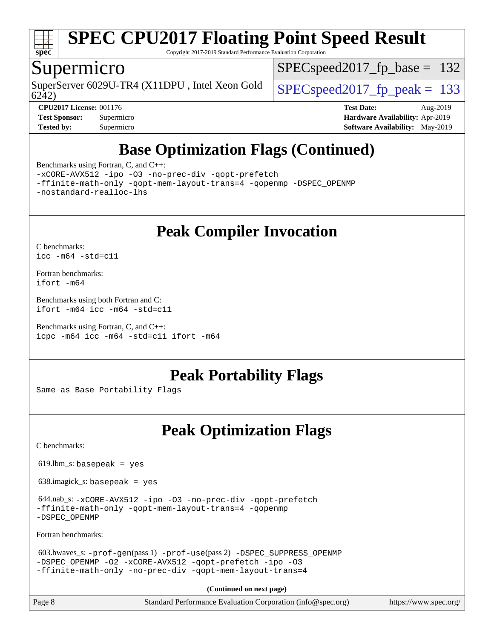

Copyright 2017-2019 Standard Performance Evaluation Corporation

### Supermicro

SuperServer 6029U-TR4 (X11DPU, Intel Xeon Gold  $\big|$  SPECspeed 2017 fp peak = 133

SPECspeed2017 fp base =  $132$ 

6242)

**[CPU2017 License:](http://www.spec.org/auto/cpu2017/Docs/result-fields.html#CPU2017License)** 001176 **[Test Date:](http://www.spec.org/auto/cpu2017/Docs/result-fields.html#TestDate)** Aug-2019 **[Test Sponsor:](http://www.spec.org/auto/cpu2017/Docs/result-fields.html#TestSponsor)** Supermicro **[Hardware Availability:](http://www.spec.org/auto/cpu2017/Docs/result-fields.html#HardwareAvailability)** Apr-2019 **[Tested by:](http://www.spec.org/auto/cpu2017/Docs/result-fields.html#Testedby)** Supermicro **[Software Availability:](http://www.spec.org/auto/cpu2017/Docs/result-fields.html#SoftwareAvailability)** May-2019

## **[Base Optimization Flags \(Continued\)](http://www.spec.org/auto/cpu2017/Docs/result-fields.html#BaseOptimizationFlags)**

[Benchmarks using Fortran, C, and C++:](http://www.spec.org/auto/cpu2017/Docs/result-fields.html#BenchmarksusingFortranCandCXX)

[-xCORE-AVX512](http://www.spec.org/cpu2017/results/res2019q3/cpu2017-20190806-16727.flags.html#user_CC_CXX_FCbase_f-xCORE-AVX512) [-ipo](http://www.spec.org/cpu2017/results/res2019q3/cpu2017-20190806-16727.flags.html#user_CC_CXX_FCbase_f-ipo) [-O3](http://www.spec.org/cpu2017/results/res2019q3/cpu2017-20190806-16727.flags.html#user_CC_CXX_FCbase_f-O3) [-no-prec-div](http://www.spec.org/cpu2017/results/res2019q3/cpu2017-20190806-16727.flags.html#user_CC_CXX_FCbase_f-no-prec-div) [-qopt-prefetch](http://www.spec.org/cpu2017/results/res2019q3/cpu2017-20190806-16727.flags.html#user_CC_CXX_FCbase_f-qopt-prefetch)

[-ffinite-math-only](http://www.spec.org/cpu2017/results/res2019q3/cpu2017-20190806-16727.flags.html#user_CC_CXX_FCbase_f_finite_math_only_cb91587bd2077682c4b38af759c288ed7c732db004271a9512da14a4f8007909a5f1427ecbf1a0fb78ff2a814402c6114ac565ca162485bbcae155b5e4258871) [-qopt-mem-layout-trans=4](http://www.spec.org/cpu2017/results/res2019q3/cpu2017-20190806-16727.flags.html#user_CC_CXX_FCbase_f-qopt-mem-layout-trans_fa39e755916c150a61361b7846f310bcdf6f04e385ef281cadf3647acec3f0ae266d1a1d22d972a7087a248fd4e6ca390a3634700869573d231a252c784941a8) [-qopenmp](http://www.spec.org/cpu2017/results/res2019q3/cpu2017-20190806-16727.flags.html#user_CC_CXX_FCbase_qopenmp_16be0c44f24f464004c6784a7acb94aca937f053568ce72f94b139a11c7c168634a55f6653758ddd83bcf7b8463e8028bb0b48b77bcddc6b78d5d95bb1df2967) [-DSPEC\\_OPENMP](http://www.spec.org/cpu2017/results/res2019q3/cpu2017-20190806-16727.flags.html#suite_CC_CXX_FCbase_DSPEC_OPENMP) [-nostandard-realloc-lhs](http://www.spec.org/cpu2017/results/res2019q3/cpu2017-20190806-16727.flags.html#user_CC_CXX_FCbase_f_2003_std_realloc_82b4557e90729c0f113870c07e44d33d6f5a304b4f63d4c15d2d0f1fab99f5daaed73bdb9275d9ae411527f28b936061aa8b9c8f2d63842963b95c9dd6426b8a)

## **[Peak Compiler Invocation](http://www.spec.org/auto/cpu2017/Docs/result-fields.html#PeakCompilerInvocation)**

[C benchmarks](http://www.spec.org/auto/cpu2017/Docs/result-fields.html#Cbenchmarks): [icc -m64 -std=c11](http://www.spec.org/cpu2017/results/res2019q3/cpu2017-20190806-16727.flags.html#user_CCpeak_intel_icc_64bit_c11_33ee0cdaae7deeeab2a9725423ba97205ce30f63b9926c2519791662299b76a0318f32ddfffdc46587804de3178b4f9328c46fa7c2b0cd779d7a61945c91cd35)

[Fortran benchmarks](http://www.spec.org/auto/cpu2017/Docs/result-fields.html#Fortranbenchmarks): [ifort -m64](http://www.spec.org/cpu2017/results/res2019q3/cpu2017-20190806-16727.flags.html#user_FCpeak_intel_ifort_64bit_24f2bb282fbaeffd6157abe4f878425411749daecae9a33200eee2bee2fe76f3b89351d69a8130dd5949958ce389cf37ff59a95e7a40d588e8d3a57e0c3fd751)

[Benchmarks using both Fortran and C](http://www.spec.org/auto/cpu2017/Docs/result-fields.html#BenchmarksusingbothFortranandC): [ifort -m64](http://www.spec.org/cpu2017/results/res2019q3/cpu2017-20190806-16727.flags.html#user_CC_FCpeak_intel_ifort_64bit_24f2bb282fbaeffd6157abe4f878425411749daecae9a33200eee2bee2fe76f3b89351d69a8130dd5949958ce389cf37ff59a95e7a40d588e8d3a57e0c3fd751) [icc -m64 -std=c11](http://www.spec.org/cpu2017/results/res2019q3/cpu2017-20190806-16727.flags.html#user_CC_FCpeak_intel_icc_64bit_c11_33ee0cdaae7deeeab2a9725423ba97205ce30f63b9926c2519791662299b76a0318f32ddfffdc46587804de3178b4f9328c46fa7c2b0cd779d7a61945c91cd35)

[Benchmarks using Fortran, C, and C++:](http://www.spec.org/auto/cpu2017/Docs/result-fields.html#BenchmarksusingFortranCandCXX) [icpc -m64](http://www.spec.org/cpu2017/results/res2019q3/cpu2017-20190806-16727.flags.html#user_CC_CXX_FCpeak_intel_icpc_64bit_4ecb2543ae3f1412ef961e0650ca070fec7b7afdcd6ed48761b84423119d1bf6bdf5cad15b44d48e7256388bc77273b966e5eb805aefd121eb22e9299b2ec9d9) [icc -m64 -std=c11](http://www.spec.org/cpu2017/results/res2019q3/cpu2017-20190806-16727.flags.html#user_CC_CXX_FCpeak_intel_icc_64bit_c11_33ee0cdaae7deeeab2a9725423ba97205ce30f63b9926c2519791662299b76a0318f32ddfffdc46587804de3178b4f9328c46fa7c2b0cd779d7a61945c91cd35) [ifort -m64](http://www.spec.org/cpu2017/results/res2019q3/cpu2017-20190806-16727.flags.html#user_CC_CXX_FCpeak_intel_ifort_64bit_24f2bb282fbaeffd6157abe4f878425411749daecae9a33200eee2bee2fe76f3b89351d69a8130dd5949958ce389cf37ff59a95e7a40d588e8d3a57e0c3fd751)

## **[Peak Portability Flags](http://www.spec.org/auto/cpu2017/Docs/result-fields.html#PeakPortabilityFlags)**

Same as Base Portability Flags

## **[Peak Optimization Flags](http://www.spec.org/auto/cpu2017/Docs/result-fields.html#PeakOptimizationFlags)**

[C benchmarks](http://www.spec.org/auto/cpu2017/Docs/result-fields.html#Cbenchmarks):

 $619.$ lbm\_s: basepeak = yes

638.imagick\_s: basepeak = yes

```
 644.nab_s: -xCORE-AVX512 -ipo -O3 -no-prec-div -qopt-prefetch
-ffinite-math-only -qopt-mem-layout-trans=4 -qopenmp
-DSPEC_OPENMP
```
[Fortran benchmarks](http://www.spec.org/auto/cpu2017/Docs/result-fields.html#Fortranbenchmarks):

```
 603.bwaves_s: -prof-gen(pass 1) -prof-use(pass 2) -DSPEC_SUPPRESS_OPENMP
-DSPEC_OPENMP -O2 -xCORE-AVX512 -qopt-prefetch -ipo -O3
-ffinite-math-only -no-prec-div -qopt-mem-layout-trans=4
```
**(Continued on next page)**